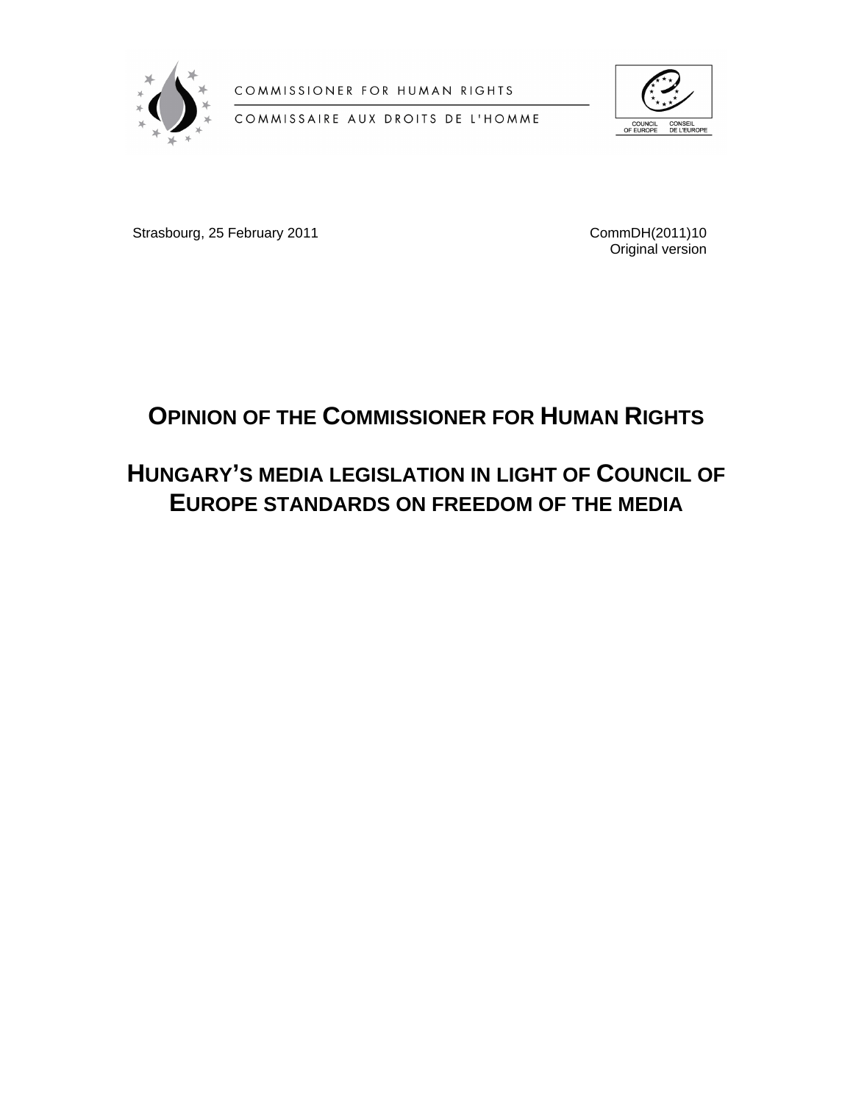

COMMISSIONER FOR HUMAN RIGHTS

COMMISSAIRE AUX DROITS DE L'HOMME



Strasbourg, 25 February 2011 **CommDH**(2011)10

Original version

# **OPINION OF THE COMMISSIONER FOR HUMAN RIGHTS**

# **HUNGARY'S MEDIA LEGISLATION IN LIGHT OF COUNCIL OF EUROPE STANDARDS ON FREEDOM OF THE MEDIA**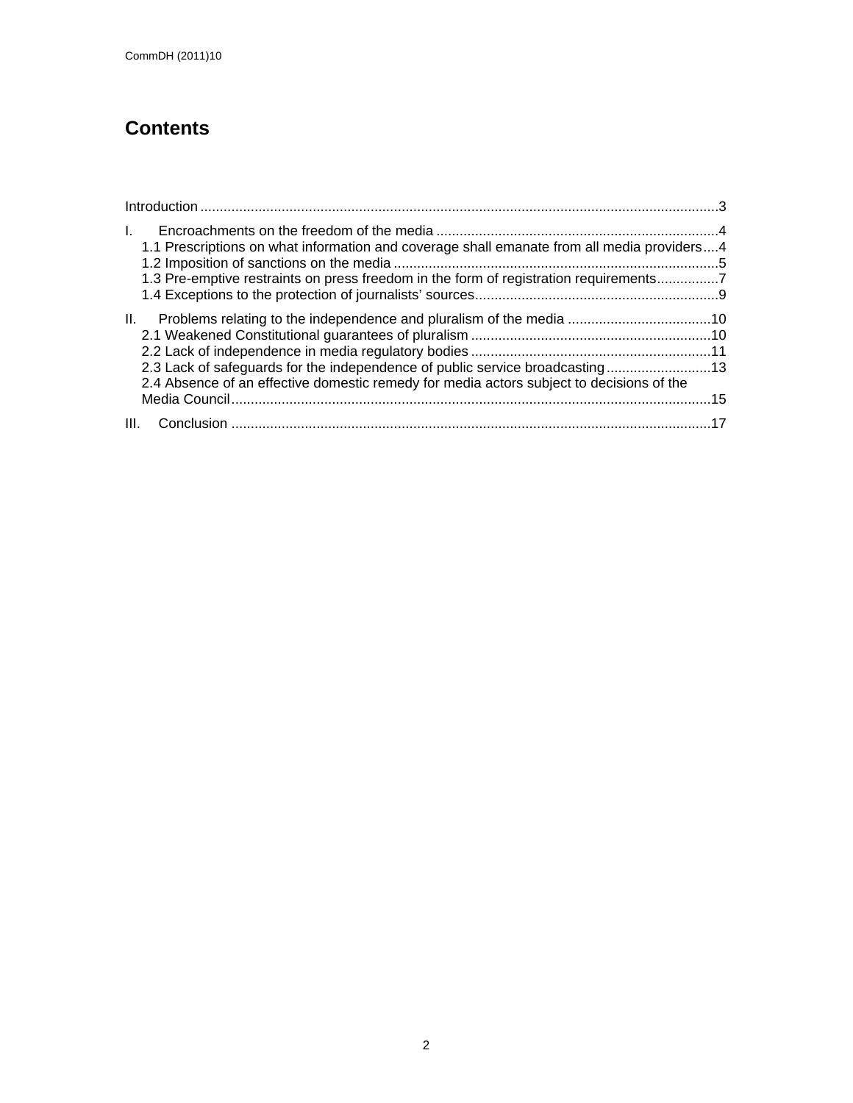# **Contents**

| L.<br>1.1 Prescriptions on what information and coverage shall emanate from all media providers4<br>1.3 Pre-emptive restraints on press freedom in the form of registration requirements7 |  |
|-------------------------------------------------------------------------------------------------------------------------------------------------------------------------------------------|--|
| 2.3 Lack of safeguards for the independence of public service broadcasting13<br>2.4 Absence of an effective domestic remedy for media actors subject to decisions of the                  |  |
|                                                                                                                                                                                           |  |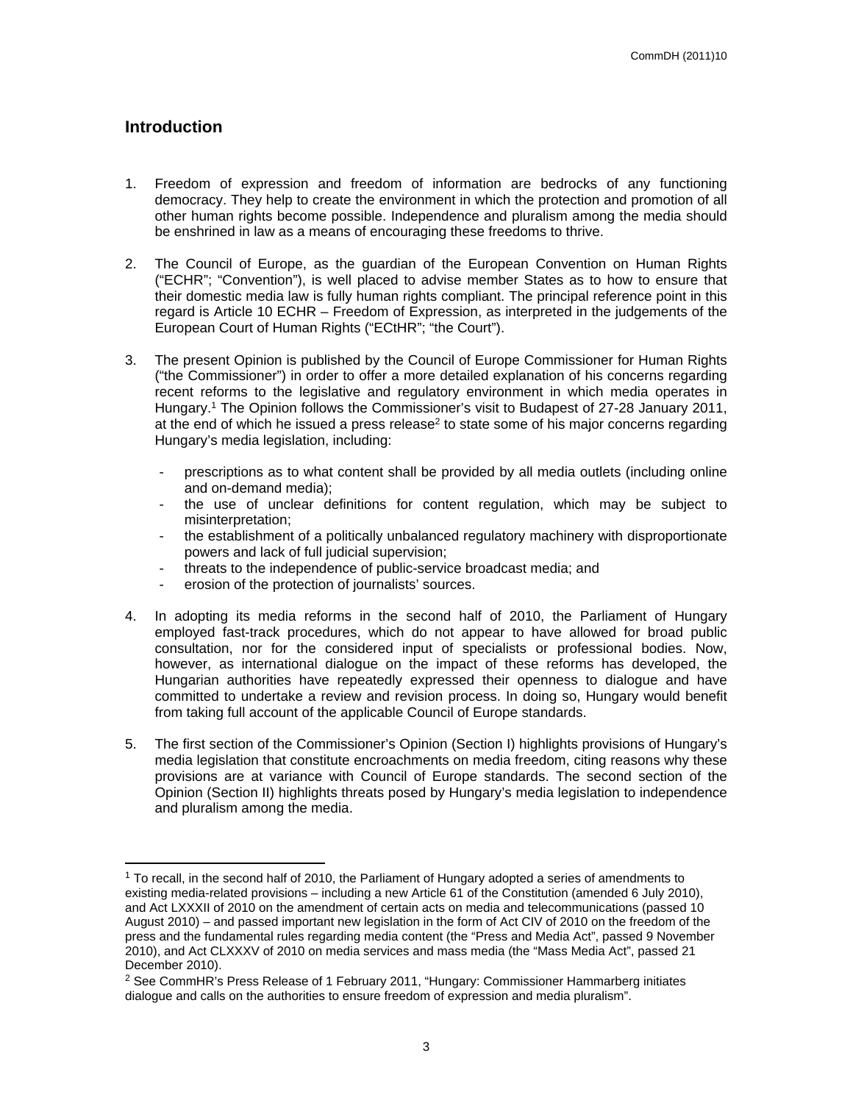# <span id="page-2-0"></span>**Introduction**

- 1. Freedom of expression and freedom of information are bedrocks of any functioning democracy. They help to create the environment in which the protection and promotion of all other human rights become possible. Independence and pluralism among the media should be enshrined in law as a means of encouraging these freedoms to thrive.
- 2. The Council of Europe, as the guardian of the European Convention on Human Rights ("ECHR"; "Convention"), is well placed to advise member States as to how to ensure that their domestic media law is fully human rights compliant. The principal reference point in this regard is Article 10 ECHR – Freedom of Expression, as interpreted in the judgements of the European Court of Human Rights ("ECtHR"; "the Court").
- 3. The present Opinion is published by the Council of Europe Commissioner for Human Rights ("the Commissioner") in order to offer a more detailed explanation of his concerns regarding recent reforms to the legislative and regulatory environment in which media operates in Hungary.<sup>1</sup> The Opinion follows the Commissioner's visit to Budapest of 27-28 January 2011, at the end of which he issued a press release<sup>2</sup> to state some of his major concerns regarding Hungary's media legislation, including:
	- prescriptions as to what content shall be provided by all media outlets (including online and on-demand media);
	- the use of unclear definitions for content regulation, which may be subject to misinterpretation;
	- the establishment of a politically unbalanced regulatory machinery with disproportionate powers and lack of full judicial supervision;
	- threats to the independence of public-service broadcast media; and
	- erosion of the protection of journalists' sources.
- 4. In adopting its media reforms in the second half of 2010, the Parliament of Hungary employed fast-track procedures, which do not appear to have allowed for broad public consultation, nor for the considered input of specialists or professional bodies. Now, however, as international dialogue on the impact of these reforms has developed, the Hungarian authorities have repeatedly expressed their openness to dialogue and have committed to undertake a review and revision process. In doing so, Hungary would benefit from taking full account of the applicable Council of Europe standards.
- 5. The first section of the Commissioner's Opinion (Section I) highlights provisions of Hungary's media legislation that constitute encroachments on media freedom, citing reasons why these provisions are at variance with Council of Europe standards. The second section of the Opinion (Section II) highlights threats posed by Hungary's media legislation to independence and pluralism among the media.

<sup>&</sup>lt;sup>1</sup> To recall, in the second half of 2010, the Parliament of Hungary adopted a series of amendments to existing media-related provisions – including a new Article 61 of the Constitution (amended 6 July 2010), and Act LXXXII of 2010 on the amendment of certain acts on media and telecommunications (passed 10 August 2010) – and passed important new legislation in the form of Act CIV of 2010 on the freedom of the press and the fundamental rules regarding media content (the "Press and Media Act", passed 9 November 2010), and Act CLXXXV of 2010 on media services and mass media (the "Mass Media Act", passed 21 December 2010).

<sup>&</sup>lt;sup>2</sup> See CommHR's Press Release of 1 February 2011, "Hungary: Commissioner Hammarberg initiates dialogue and calls on the authorities to ensure freedom of expression and media pluralism".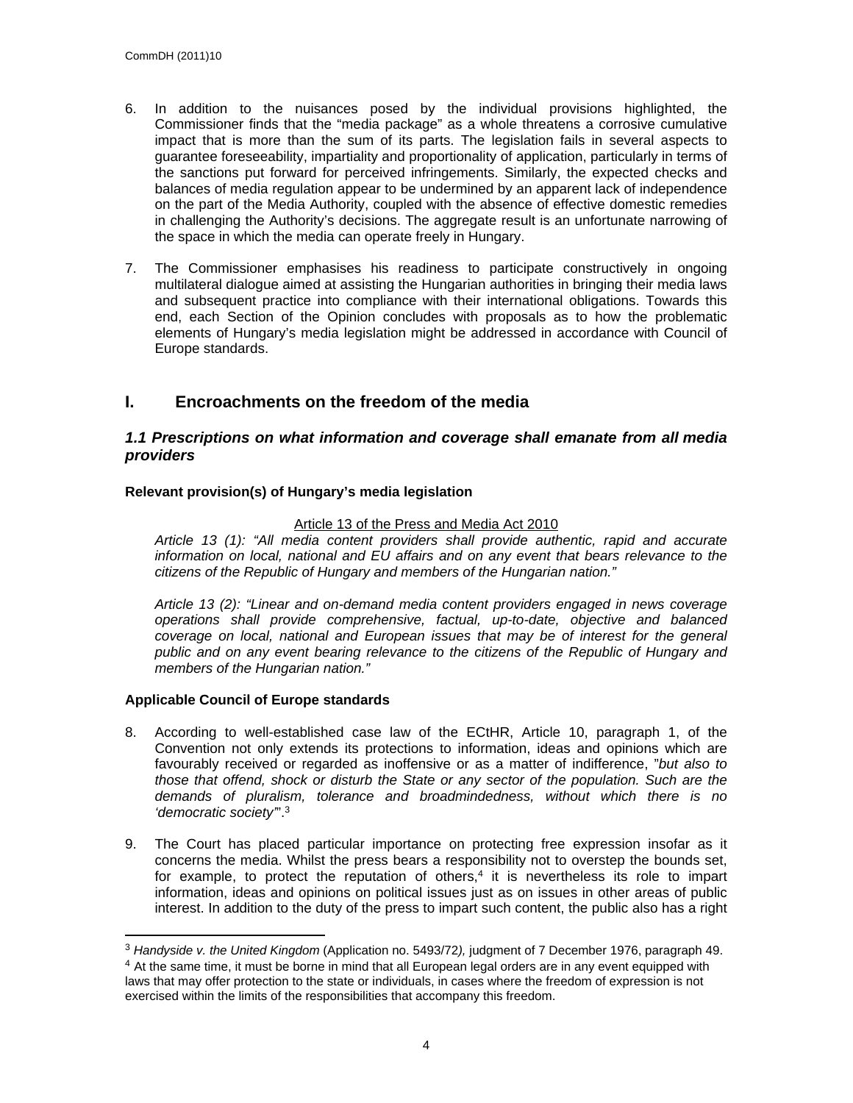- 6. In addition to the nuisances posed by the individual provisions highlighted, the Commissioner finds that the "media package" as a whole threatens a corrosive cumulative impact that is more than the sum of its parts. The legislation fails in several aspects to guarantee foreseeability, impartiality and proportionality of application, particularly in terms of the sanctions put forward for perceived infringements. Similarly, the expected checks and balances of media regulation appear to be undermined by an apparent lack of independence on the part of the Media Authority, coupled with the absence of effective domestic remedies in challenging the Authority's decisions. The aggregate result is an unfortunate narrowing of the space in which the media can operate freely in Hungary.
- 7. The Commissioner emphasises his readiness to participate constructively in ongoing multilateral dialogue aimed at assisting the Hungarian authorities in bringing their media laws and subsequent practice into compliance with their international obligations. Towards this end, each Section of the Opinion concludes with proposals as to how the problematic elements of Hungary's media legislation might be addressed in accordance with Council of Europe standards.

# <span id="page-3-0"></span>**I. Encroachments on the freedom of the media**

## <span id="page-3-1"></span>*1.1 Prescriptions on what information and coverage shall emanate from all media providers*

## **Relevant provision(s) of Hungary's media legislation**

## Article 13 of the Press and Media Act 2010

*Article 13 (1): "All media content providers shall provide authentic, rapid and accurate information on local, national and EU affairs and on any event that bears relevance to the citizens of the Republic of Hungary and members of the Hungarian nation."*

*Article 13 (2): "Linear and on-demand media content providers engaged in news coverage operations shall provide comprehensive, factual, up-to-date, objective and balanced coverage on local, national and European issues that may be of interest for the general public and on any event bearing relevance to the citizens of the Republic of Hungary and members of the Hungarian nation."*

## **Applicable Council of Europe standards**

- 8. According to well-established case law of the ECtHR, Article 10, paragraph 1, of the Convention not only extends its protections to information, ideas and opinions which are favourably received or regarded as inoffensive or as a matter of indifference, "*but also to those that offend, shock or disturb the State or any sector of the population. Such are the demands of pluralism, tolerance and broadmindedness, without which there is no 'democratic society'*".<sup>3</sup>
- 9. The Court has placed particular importance on protecting free expression insofar as it concerns the media. Whilst the press bears a responsibility not to overstep the bounds set, for example, to protect the reputation of others, $4$  it is nevertheless its role to impart information, ideas and opinions on political issues just as on issues in other areas of public interest. In addition to the duty of the press to impart such content, the public also has a right

<sup>3</sup> *Handyside v. the United Kingdom* (Application no. 5493/72*),* judgment of 7 December 1976, paragraph 49. <sup>4</sup> At the same time, it must be borne in mind that all European legal orders are in any event equipped with laws that may offer protection to the state or individuals, in cases where the freedom of expression is not exercised within the limits of the responsibilities that accompany this freedom.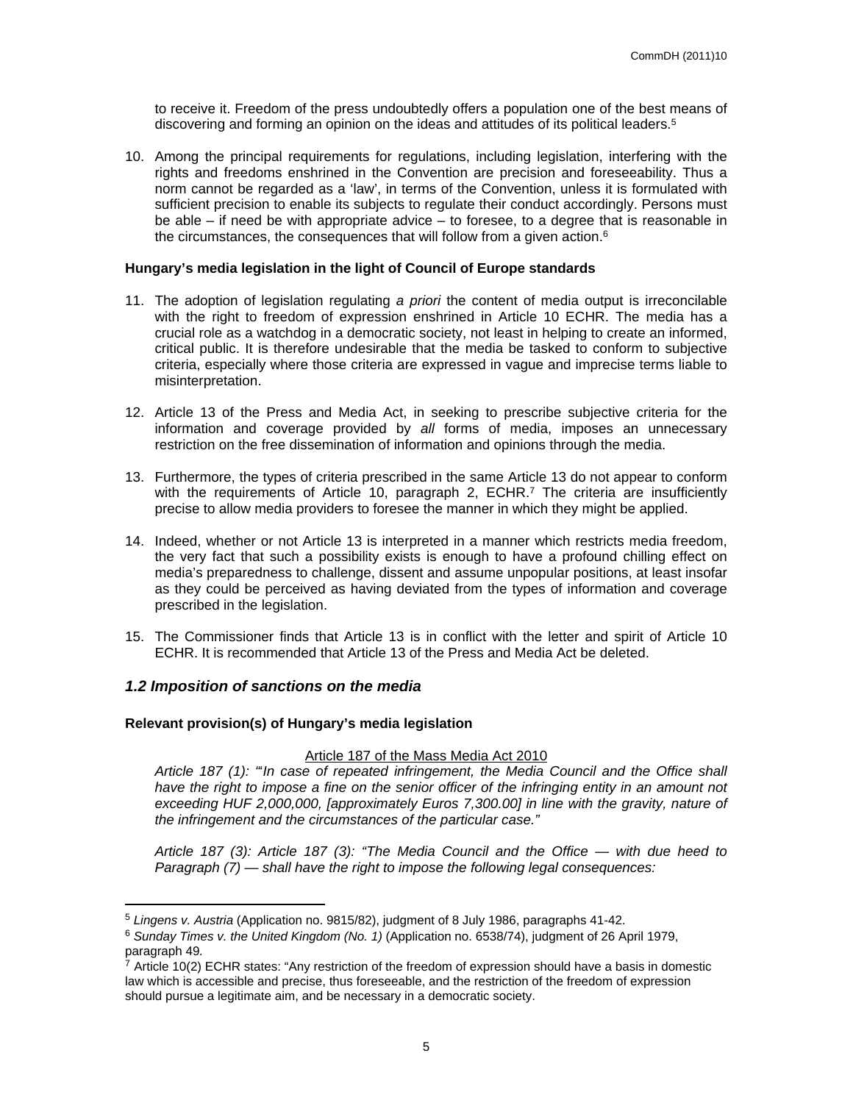to receive it. Freedom of the press undoubtedly offers a population one of the best means of discovering and forming an opinion on the ideas and attitudes of its political leaders.<sup>5</sup>

10. Among the principal requirements for regulations, including legislation, interfering with the rights and freedoms enshrined in the Convention are precision and foreseeability. Thus a norm cannot be regarded as a 'law', in terms of the Convention, unless it is formulated with sufficient precision to enable its subjects to regulate their conduct accordingly. Persons must be able – if need be with appropriate advice – to foresee, to a degree that is reasonable in the circumstances, the consequences that will follow from a given action.<sup>6</sup>

#### **Hungary's media legislation in the light of Council of Europe standards**

- 11. The adoption of legislation regulating *a priori* the content of media output is irreconcilable with the right to freedom of expression enshrined in Article 10 ECHR. The media has a crucial role as a watchdog in a democratic society, not least in helping to create an informed, critical public. It is therefore undesirable that the media be tasked to conform to subjective criteria, especially where those criteria are expressed in vague and imprecise terms liable to misinterpretation.
- 12. Article 13 of the Press and Media Act, in seeking to prescribe subjective criteria for the information and coverage provided by *all* forms of media, imposes an unnecessary restriction on the free dissemination of information and opinions through the media.
- 13. Furthermore, the types of criteria prescribed in the same Article 13 do not appear to conform with the requirements of Article 10, paragraph 2, ECHR.<sup>7</sup> The criteria are insufficiently precise to allow media providers to foresee the manner in which they might be applied.
- 14. Indeed, whether or not Article 13 is interpreted in a manner which restricts media freedom, the very fact that such a possibility exists is enough to have a profound chilling effect on media's preparedness to challenge, dissent and assume unpopular positions, at least insofar as they could be perceived as having deviated from the types of information and coverage prescribed in the legislation.
- 15. The Commissioner finds that Article 13 is in conflict with the letter and spirit of Article 10 ECHR. It is recommended that Article 13 of the Press and Media Act be deleted.

## <span id="page-4-0"></span>*1.2 Imposition of sanctions on the media*

#### **Relevant provision(s) of Hungary's media legislation**

#### Article 187 of the Mass Media Act 2010

*Article 187 (1): "*'*In case of repeated infringement, the Media Council and the Office shall*  have the right to impose a fine on the senior officer of the infringing entity in an amount not *exceeding HUF 2,000,000, [approximately Euros 7,300.00] in line with the gravity, nature of the infringement and the circumstances of the particular case."*

*Article 187 (3): Article 187 (3): "The Media Council and the Office — with due heed to Paragraph (7) — shall have the right to impose the following legal consequences:*

<sup>5</sup> *Lingens v. Austria* (Application no. 9815/82), judgment of 8 July 1986, paragraphs 41-42.

<sup>6</sup> *Sunday Times v. the United Kingdom (No. 1)* (Application no. 6538/74), judgment of 26 April 1979, paragraph 49*.*

 $7$  Article 10(2) ECHR states: "Any restriction of the freedom of expression should have a basis in domestic law which is accessible and precise, thus foreseeable, and the restriction of the freedom of expression should pursue a legitimate aim, and be necessary in a democratic society.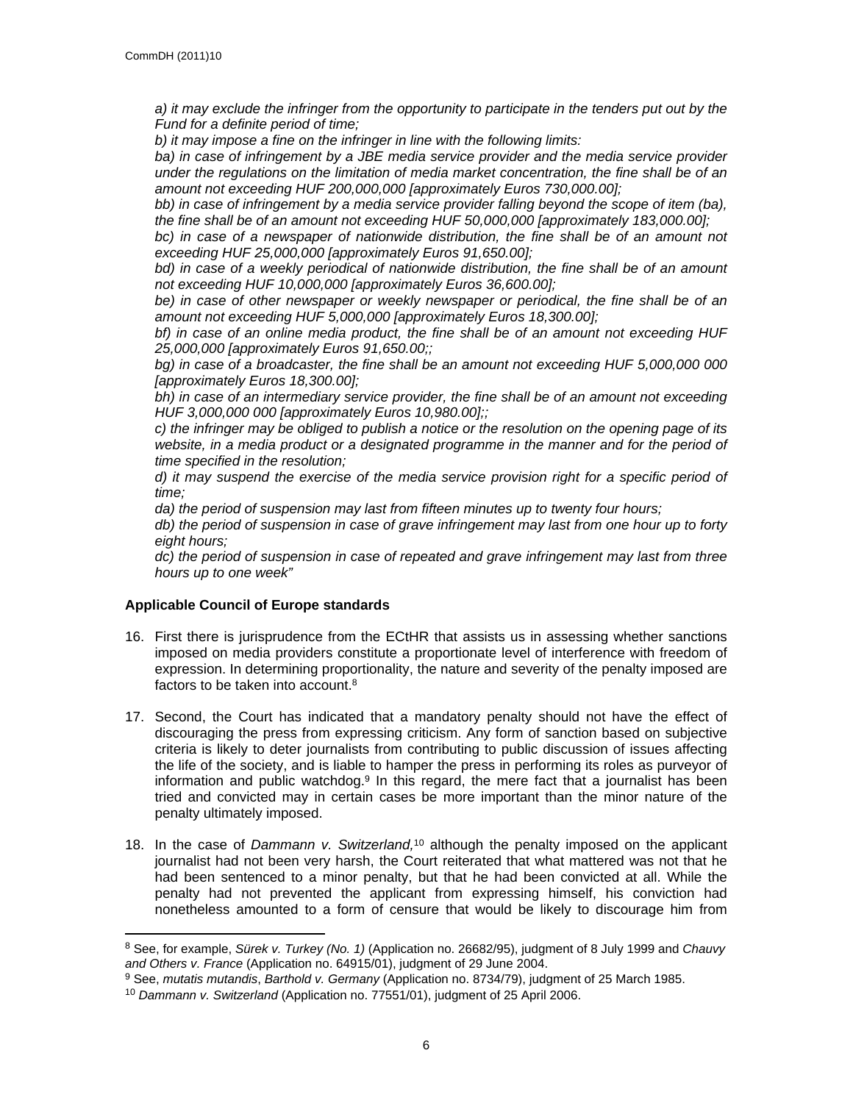*a) it may exclude the infringer from the opportunity to participate in the tenders put out by the Fund for a definite period of time;*

*b) it may impose a fine on the infringer in line with the following limits:*

*ba) in case of infringement by a JBE media service provider and the media service provider under the regulations on the limitation of media market concentration, the fine shall be of an amount not exceeding HUF 200,000,000 [approximately Euros 730,000.00];*

*bb) in case of infringement by a media service provider falling beyond the scope of item (ba), the fine shall be of an amount not exceeding HUF 50,000,000 [approximately 183,000.00];*

bc) in case of a newspaper of nationwide distribution, the fine shall be of an amount not *exceeding HUF 25,000,000 [approximately Euros 91,650.00];*

*bd) in case of a weekly periodical of nationwide distribution, the fine shall be of an amount not exceeding HUF 10,000,000 [approximately Euros 36,600.00];*

*be) in case of other newspaper or weekly newspaper or periodical, the fine shall be of an amount not exceeding HUF 5,000,000 [approximately Euros 18,300.00];*

*bf) in case of an online media product, the fine shall be of an amount not exceeding HUF 25,000,000 [approximately Euros 91,650.00;;*

*bg) in case of a broadcaster, the fine shall be an amount not exceeding HUF 5,000,000 000 [approximately Euros 18,300.00];*

*bh) in case of an intermediary service provider, the fine shall be of an amount not exceeding HUF 3,000,000 000 [approximately Euros 10,980.00];;*

*c) the infringer may be obliged to publish a notice or the resolution on the opening page of its*  website, in a media product or a designated programme in the manner and for the period of *time specified in the resolution;*

*d) it may suspend the exercise of the media service provision right for a specific period of time;*

*da) the period of suspension may last from fifteen minutes up to twenty four hours;*

*db) the period of suspension in case of grave infringement may last from one hour up to forty eight hours;*

*dc) the period of suspension in case of repeated and grave infringement may last from three hours up to one week"*

# **Applicable Council of Europe standards**

- 16. First there is jurisprudence from the ECtHR that assists us in assessing whether sanctions imposed on media providers constitute a proportionate level of interference with freedom of expression. In determining proportionality, the nature and severity of the penalty imposed are factors to be taken into account.<sup>8</sup>
- 17. Second, the Court has indicated that a mandatory penalty should not have the effect of discouraging the press from expressing criticism. Any form of sanction based on subjective criteria is likely to deter journalists from contributing to public discussion of issues affecting the life of the society, and is liable to hamper the press in performing its roles as purveyor of information and public watchdog.<sup>9</sup> In this regard, the mere fact that a journalist has been tried and convicted may in certain cases be more important than the minor nature of the penalty ultimately imposed.
- 18. In the case of *Dammann v. Switzerland,*<sup>10</sup> although the penalty imposed on the applicant journalist had not been very harsh, the Court reiterated that what mattered was not that he had been sentenced to a minor penalty, but that he had been convicted at all. While the penalty had not prevented the applicant from expressing himself, his conviction had nonetheless amounted to a form of censure that would be likely to discourage him from

<sup>8</sup> See, for example, *Sürek v. Turkey (No. 1)* (Application no. 26682/95), judgment of 8 July 1999 and *Chauvy and Others v. France* (Application no. 64915/01), judgment of 29 June 2004.

<sup>9</sup> See, *mutatis mutandis*, *Barthold v. Germany* (Application no. 8734/79), judgment of 25 March 1985.

<sup>10</sup> *Dammann v. Switzerland* (Application no. 77551/01), judgment of 25 April 2006.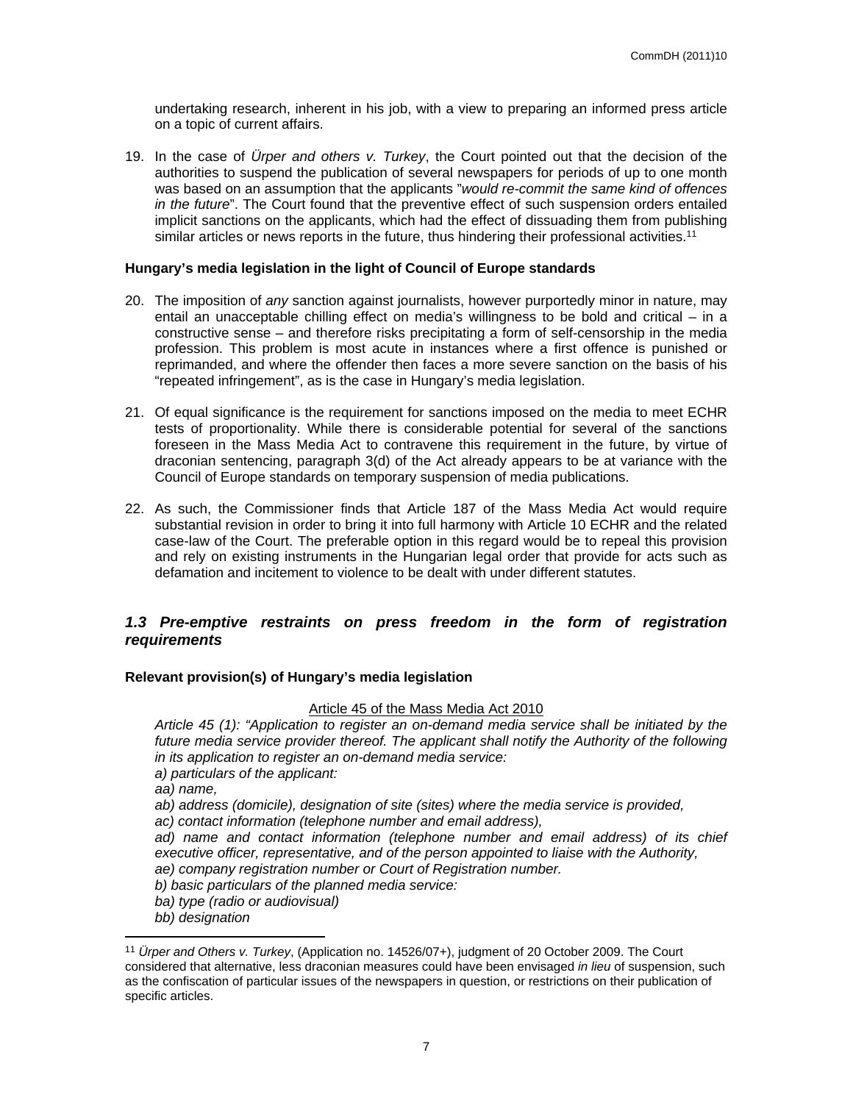undertaking research, inherent in his job, with a view to preparing an informed press article on a topic of current affairs.

19. In the case of *Ürper and others v. Turkey*, the Court pointed out that the decision of the authorities to suspend the publication of several newspapers for periods of up to one month was based on an assumption that the applicants "*would re-commit the same kind of offences in the future*". The Court found that the preventive effect of such suspension orders entailed implicit sanctions on the applicants, which had the effect of dissuading them from publishing similar articles or news reports in the future, thus hindering their professional activities.<sup>11</sup>

## **Hungary's media legislation in the light of Council of Europe standards**

- 20. The imposition of *any* sanction against journalists, however purportedly minor in nature, may entail an unacceptable chilling effect on media's willingness to be bold and critical – in a constructive sense – and therefore risks precipitating a form of self-censorship in the media profession. This problem is most acute in instances where a first offence is punished or reprimanded, and where the offender then faces a more severe sanction on the basis of his "repeated infringement", as is the case in Hungary's media legislation.
- 21. Of equal significance is the requirement for sanctions imposed on the media to meet ECHR tests of proportionality. While there is considerable potential for several of the sanctions foreseen in the Mass Media Act to contravene this requirement in the future, by virtue of draconian sentencing, paragraph 3(d) of the Act already appears to be at variance with the Council of Europe standards on temporary suspension of media publications.
- 22. As such, the Commissioner finds that Article 187 of the Mass Media Act would require substantial revision in order to bring it into full harmony with Article 10 ECHR and the related case-law of the Court. The preferable option in this regard would be to repeal this provision and rely on existing instruments in the Hungarian legal order that provide for acts such as defamation and incitement to violence to be dealt with under different statutes.

# <span id="page-6-0"></span>*1.3 Pre-emptive restraints on press freedom in the form of registration requirements*

## **Relevant provision(s) of Hungary's media legislation**

#### Article 45 of the Mass Media Act 2010

*Article 45 (1): "Application to register an on-demand media service shall be initiated by the future media service provider thereof. The applicant shall notify the Authority of the following in its application to register an on-demand media service:*

*a) particulars of the applicant:*

*aa) name,*

*ab) address (domicile), designation of site (sites) where the media service is provided,*

*ac) contact information (telephone number and email address),*

*ad)* name and contact information (telephone number and email address) of its chief *executive officer, representative, and of the person appointed to liaise with the Authority, ae) company registration number or Court of Registration number.*

*b) basic particulars of the planned media service:*

*ba) type (radio or audiovisual)*

*bb) designation*

<sup>11</sup> *Ürper and Others v. Turkey*, (Application no. 14526/07+), judgment of 20 October 2009. The Court considered that alternative, less draconian measures could have been envisaged *in lieu* of suspension, such as the confiscation of particular issues of the newspapers in question, or restrictions on their publication of specific articles.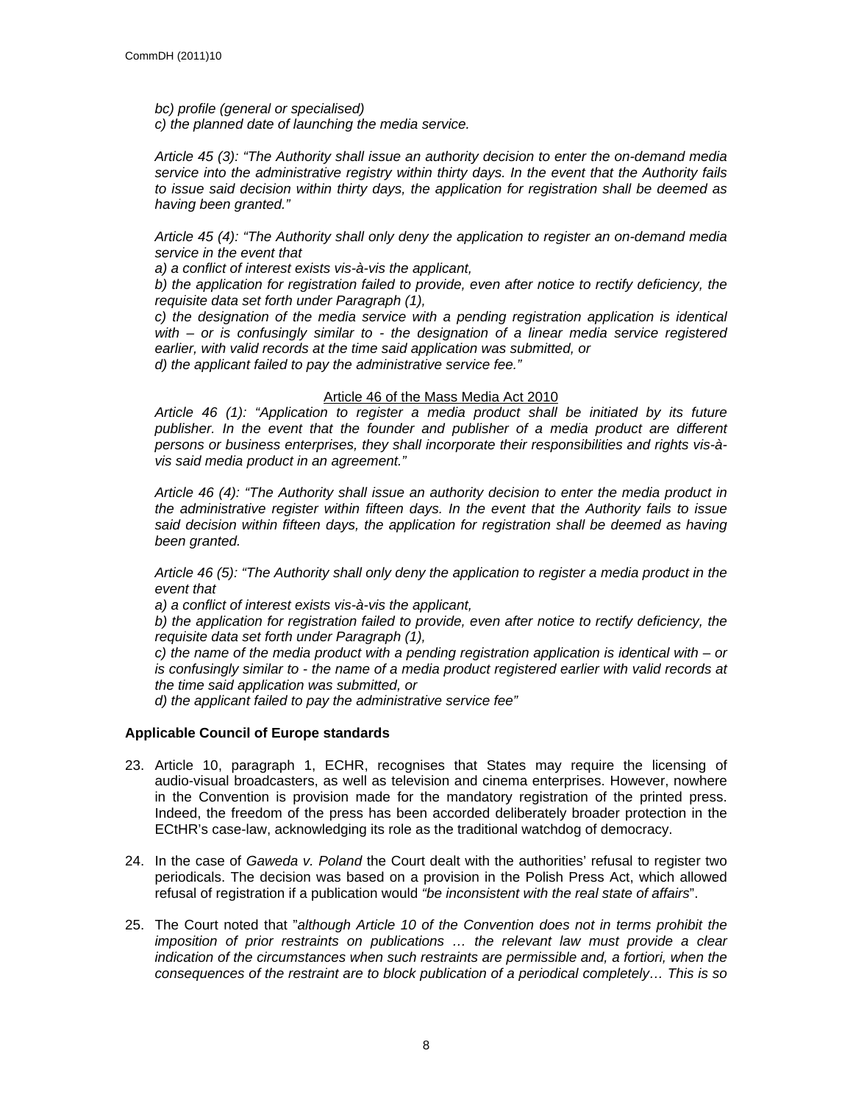*bc) profile (general or specialised) c) the planned date of launching the media service.*

*Article 45 (3): "The Authority shall issue an authority decision to enter the on-demand media service into the administrative registry within thirty days. In the event that the Authority fails to issue said decision within thirty days, the application for registration shall be deemed as having been granted."*

*Article 45 (4): "The Authority shall only deny the application to register an on-demand media service in the event that*

*a) a conflict of interest exists vis-à-vis the applicant,*

*b) the application for registration failed to provide, even after notice to rectify deficiency, the requisite data set forth under Paragraph (1),*

*c) the designation of the media service with a pending registration application is identical with – or is confusingly similar to - the designation of a linear media service registered earlier, with valid records at the time said application was submitted, or d) the applicant failed to pay the administrative service fee."*

Article 46 of the Mass Media Act 2010

*Article 46 (1): "Application to register a media product shall be initiated by its future publisher. In the event that the founder and publisher of a media product are different persons or business enterprises, they shall incorporate their responsibilities and rights vis-àvis said media product in an agreement."*

*Article 46 (4): "The Authority shall issue an authority decision to enter the media product in the administrative register within fifteen days. In the event that the Authority fails to issue said decision within fifteen days, the application for registration shall be deemed as having been granted.*

*Article 46 (5): "The Authority shall only deny the application to register a media product in the event that*

*a) a conflict of interest exists vis-à-vis the applicant,*

*b) the application for registration failed to provide, even after notice to rectify deficiency, the requisite data set forth under Paragraph (1),*

*c) the name of the media product with a pending registration application is identical with – or is confusingly similar to - the name of a media product registered earlier with valid records at the time said application was submitted, or*

*d) the applicant failed to pay the administrative service fee"*

## **Applicable Council of Europe standards**

- 23. Article 10, paragraph 1, ECHR, recognises that States may require the licensing of audio-visual broadcasters, as well as television and cinema enterprises. However, nowhere in the Convention is provision made for the mandatory registration of the printed press. Indeed, the freedom of the press has been accorded deliberately broader protection in the ECtHR's case-law, acknowledging its role as the traditional watchdog of democracy.
- 24. In the case of *Gaweda v. Poland* the Court dealt with the authorities' refusal to register two periodicals. The decision was based on a provision in the Polish Press Act, which allowed refusal of registration if a publication would *"be inconsistent with the real state of affairs*".
- 25. The Court noted that "*although Article 10 of the Convention does not in terms prohibit the imposition of prior restraints on publications ... the relevant law must provide a clear indication of the circumstances when such restraints are permissible and, a fortiori, when the consequences of the restraint are to block publication of a periodical completely… This is so*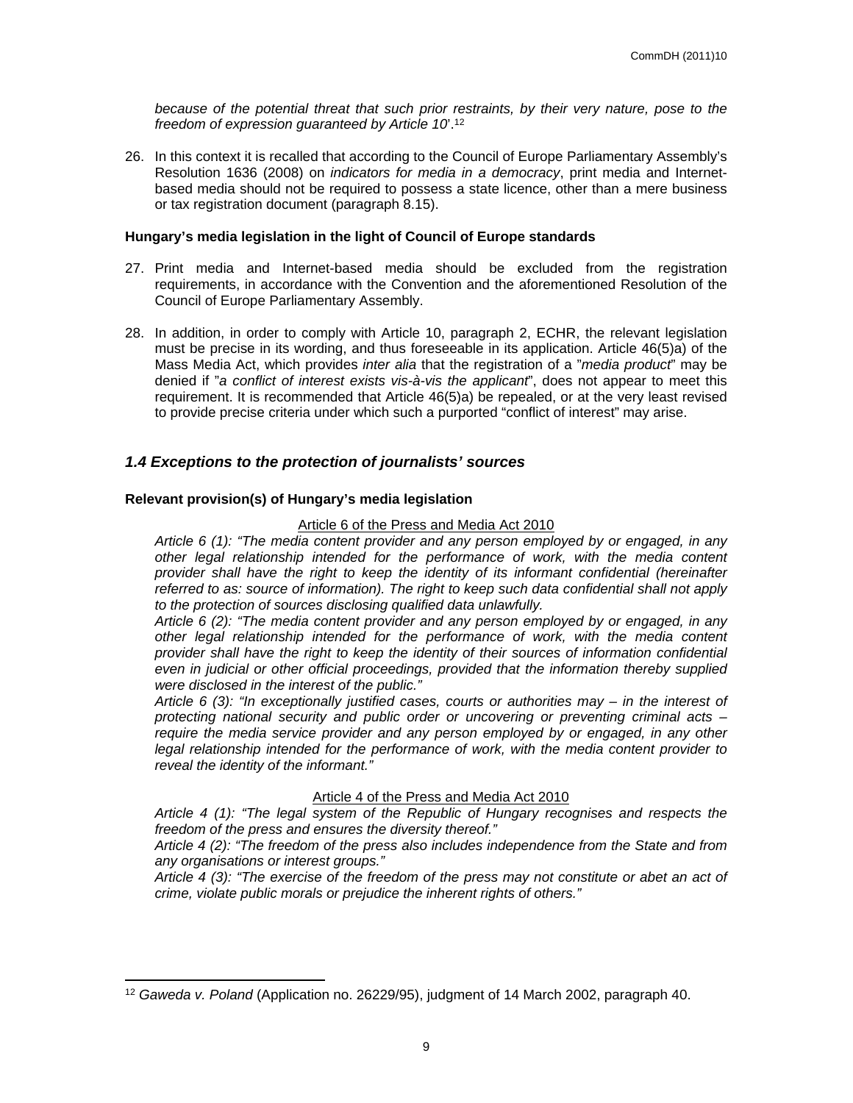*because of the potential threat that such prior restraints, by their very nature, pose to the freedom of expression guaranteed by Article 10*'.<sup>12</sup>

26. In this context it is recalled that according to the Council of Europe Parliamentary Assembly's Resolution 1636 (2008) on *indicators for media in a democracy*, print media and Internetbased media should not be required to possess a state licence, other than a mere business or tax registration document (paragraph 8.15).

#### **Hungary's media legislation in the light of Council of Europe standards**

- 27. Print media and Internet-based media should be excluded from the registration requirements, in accordance with the Convention and the aforementioned Resolution of the Council of Europe Parliamentary Assembly.
- 28. In addition, in order to comply with Article 10, paragraph 2, ECHR, the relevant legislation must be precise in its wording, and thus foreseeable in its application. Article 46(5)a) of the Mass Media Act, which provides *inter alia* that the registration of a "*media product*" may be denied if "*a conflict of interest exists vis-à-vis the applicant*", does not appear to meet this requirement. It is recommended that Article 46(5)a) be repealed, or at the very least revised to provide precise criteria under which such a purported "conflict of interest" may arise.

# <span id="page-8-0"></span>*1.4 Exceptions to the protection of journalists' sources*

#### **Relevant provision(s) of Hungary's media legislation**

#### Article 6 of the Press and Media Act 2010

*Article 6 (1): "The media content provider and any person employed by or engaged, in any other legal relationship intended for the performance of work, with the media content provider shall have the right to keep the identity of its informant confidential (hereinafter referred to as: source of information). The right to keep such data confidential shall not apply to the protection of sources disclosing qualified data unlawfully.*

*Article 6 (2): "The media content provider and any person employed by or engaged, in any other legal relationship intended for the performance of work, with the media content provider shall have the right to keep the identity of their sources of information confidential even in judicial or other official proceedings, provided that the information thereby supplied were disclosed in the interest of the public."*

*Article 6 (3): "In exceptionally justified cases, courts or authorities may – in the interest of protecting national security and public order or uncovering or preventing criminal acts – require the media service provider and any person employed by or engaged, in any other legal relationship intended for the performance of work, with the media content provider to reveal the identity of the informant."*

Article 4 of the Press and Media Act 2010

*Article 4 (1): "The legal system of the Republic of Hungary recognises and respects the freedom of the press and ensures the diversity thereof."*

*Article 4 (2): "The freedom of the press also includes independence from the State and from any organisations or interest groups."*

*Article 4 (3): "The exercise of the freedom of the press may not constitute or abet an act of crime, violate public morals or prejudice the inherent rights of others."*

<sup>12</sup> *Gaweda v. Poland* (Application no. 26229/95), judgment of 14 March 2002, paragraph 40.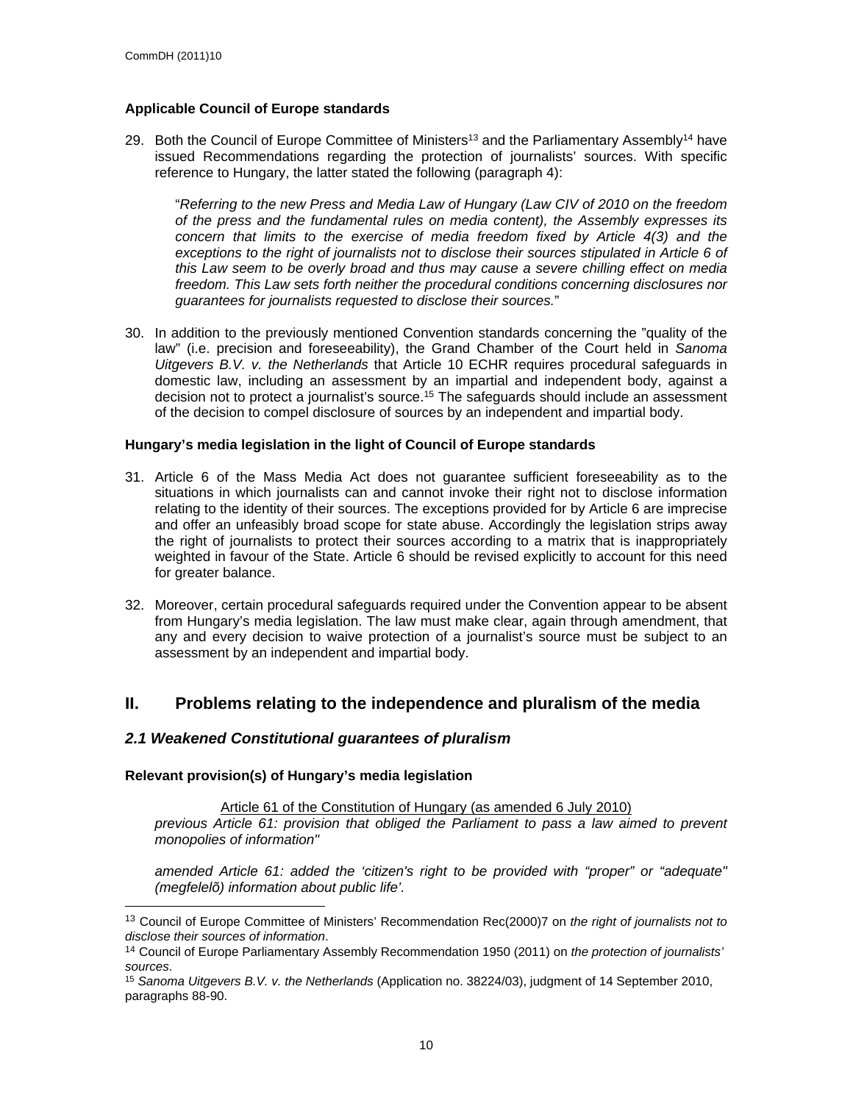## **Applicable Council of Europe standards**

29. Both the Council of Europe Committee of Ministers<sup>13</sup> and the Parliamentary Assembly<sup>14</sup> have issued Recommendations regarding the protection of journalists' sources. With specific reference to Hungary, the latter stated the following (paragraph 4):

"*Referring to the new Press and Media Law of Hungary (Law CIV of 2010 on the freedom of the press and the fundamental rules on media content), the Assembly expresses its concern that limits to the exercise of media freedom fixed by Article 4(3) and the exceptions to the right of journalists not to disclose their sources stipulated in Article 6 of this Law seem to be overly broad and thus may cause a severe chilling effect on media freedom. This Law sets forth neither the procedural conditions concerning disclosures nor guarantees for journalists requested to disclose their sources.*"

30. In addition to the previously mentioned Convention standards concerning the "quality of the law" (i.e. precision and foreseeability), the Grand Chamber of the Court held in *Sanoma Uitgevers B.V. v. the Netherlands* that Article 10 ECHR requires procedural safeguards in domestic law, including an assessment by an impartial and independent body, against a decision not to protect a journalist's source.<sup>15</sup> The safeguards should include an assessment of the decision to compel disclosure of sources by an independent and impartial body.

## **Hungary's media legislation in the light of Council of Europe standards**

- 31. Article 6 of the Mass Media Act does not guarantee sufficient foreseeability as to the situations in which journalists can and cannot invoke their right not to disclose information relating to the identity of their sources. The exceptions provided for by Article 6 are imprecise and offer an unfeasibly broad scope for state abuse. Accordingly the legislation strips away the right of journalists to protect their sources according to a matrix that is inappropriately weighted in favour of the State. Article 6 should be revised explicitly to account for this need for greater balance.
- 32. Moreover, certain procedural safeguards required under the Convention appear to be absent from Hungary's media legislation. The law must make clear, again through amendment, that any and every decision to waive protection of a journalist's source must be subject to an assessment by an independent and impartial body.

# <span id="page-9-0"></span>**II. Problems relating to the independence and pluralism of the media**

# <span id="page-9-1"></span>*2.1 Weakened Constitutional guarantees of pluralism*

## **Relevant provision(s) of Hungary's media legislation**

Article 61 of the Constitution of Hungary (as amended 6 July 2010) *previous Article 61: provision that obliged the Parliament to pass a law aimed to prevent monopolies of information"*

*amended Article 61: added the 'citizen's right to be provided with "proper" or "adequate" (megfelelõ) information about public life'.*

<sup>13</sup> Council of Europe Committee of Ministers' Recommendation Rec(2000)7 on *the right of journalists not to disclose their sources of information*.

<sup>14</sup> Council of Europe Parliamentary Assembly Recommendation 1950 (2011) on *the protection of journalists' sources*.

<sup>15</sup> *Sanoma Uitgevers B.V. v. the Netherlands* (Application no. 38224/03), judgment of 14 September 2010, paragraphs 88-90.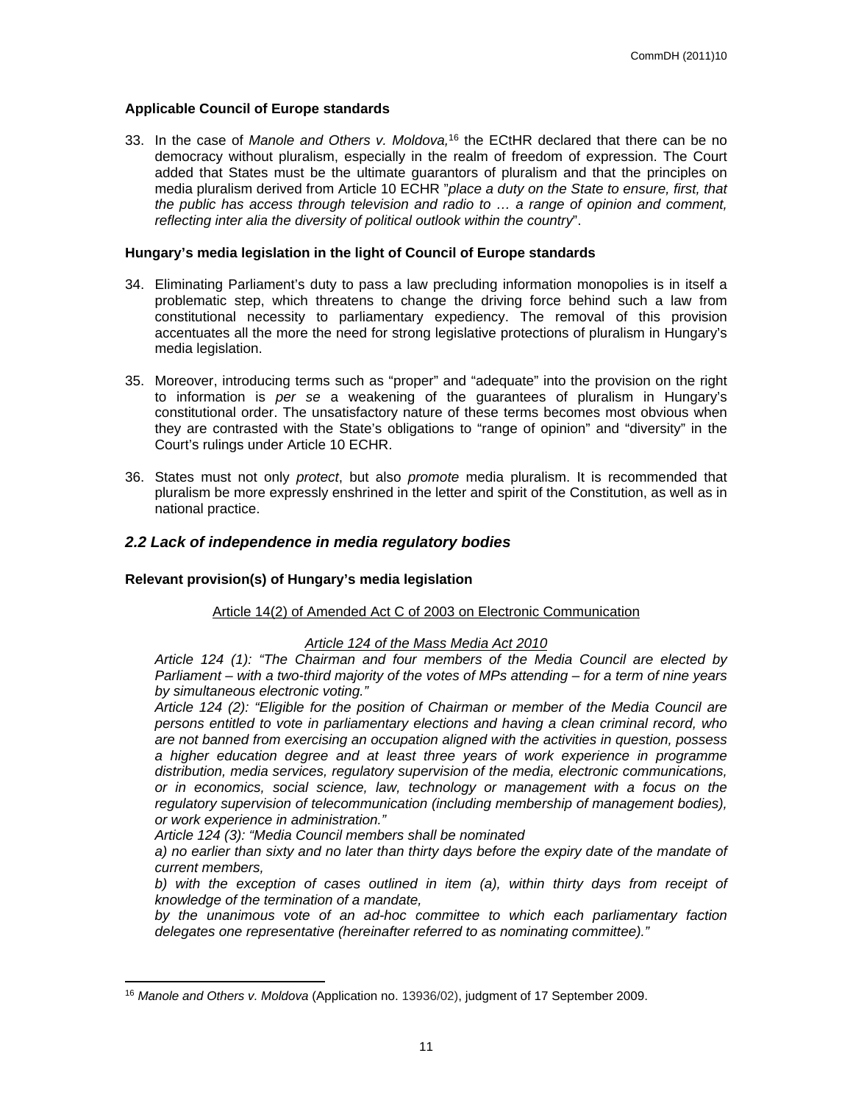## **Applicable Council of Europe standards**

33. In the case of *Manole and Others v. Moldova,*<sup>16</sup> the ECtHR declared that there can be no democracy without pluralism, especially in the realm of freedom of expression. The Court added that States must be the ultimate guarantors of pluralism and that the principles on media pluralism derived from Article 10 ECHR "*place a duty on the State to ensure, first, that the public has access through television and radio to … a range of opinion and comment, reflecting inter alia the diversity of political outlook within the country*".

#### **Hungary's media legislation in the light of Council of Europe standards**

- 34. Eliminating Parliament's duty to pass a law precluding information monopolies is in itself a problematic step, which threatens to change the driving force behind such a law from constitutional necessity to parliamentary expediency. The removal of this provision accentuates all the more the need for strong legislative protections of pluralism in Hungary's media legislation.
- 35. Moreover, introducing terms such as "proper" and "adequate" into the provision on the right to information is *per se* a weakening of the guarantees of pluralism in Hungary's constitutional order. The unsatisfactory nature of these terms becomes most obvious when they are contrasted with the State's obligations to "range of opinion" and "diversity" in the Court's rulings under Article 10 ECHR.
- 36. States must not only *protect*, but also *promote* media pluralism. It is recommended that pluralism be more expressly enshrined in the letter and spirit of the Constitution, as well as in national practice.

## <span id="page-10-0"></span>*2.2 Lack of independence in media regulatory bodies*

#### **Relevant provision(s) of Hungary's media legislation**

#### Article 14(2) of Amended Act C of 2003 on Electronic Communication

## *Article 124 of the Mass Media Act 2010*

*Article 124 (1): "The Chairman and four members of the Media Council are elected by Parliament – with a two-third majority of the votes of MPs attending – for a term of nine years by simultaneous electronic voting."*

*Article 124 (2): "Eligible for the position of Chairman or member of the Media Council are persons entitled to vote in parliamentary elections and having a clean criminal record, who are not banned from exercising an occupation aligned with the activities in question, possess a higher education degree and at least three years of work experience in programme distribution, media services, regulatory supervision of the media, electronic communications, or in economics, social science, law, technology or management with a focus on the regulatory supervision of telecommunication (including membership of management bodies), or work experience in administration."*

*Article 124 (3): "Media Council members shall be nominated*

*a) no earlier than sixty and no later than thirty days before the expiry date of the mandate of current members,*

*b) with the exception of cases outlined in item (a), within thirty days from receipt of knowledge of the termination of a mandate,*

*by the unanimous vote of an ad-hoc committee to which each parliamentary faction delegates one representative (hereinafter referred to as nominating committee)."*

<sup>16</sup> *Manole and Others v. Moldova* (Application no. 13936/02), judgment of 17 September 2009.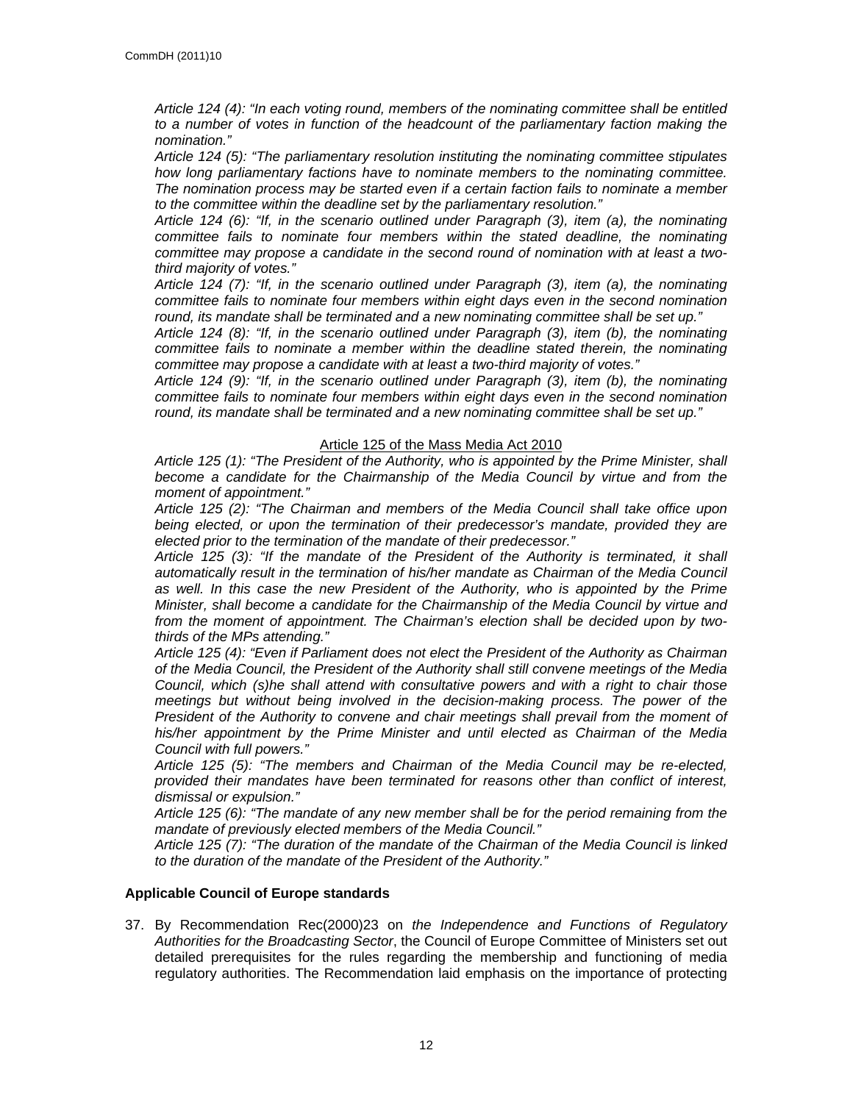*Article 124 (4): "In each voting round, members of the nominating committee shall be entitled to a number of votes in function of the headcount of the parliamentary faction making the nomination."*

*Article 124 (5): "The parliamentary resolution instituting the nominating committee stipulates how long parliamentary factions have to nominate members to the nominating committee. The nomination process may be started even if a certain faction fails to nominate a member to the committee within the deadline set by the parliamentary resolution."*

*Article 124 (6): "If, in the scenario outlined under Paragraph (3), item (a), the nominating committee fails to nominate four members within the stated deadline, the nominating committee may propose a candidate in the second round of nomination with at least a twothird majority of votes."*

*Article 124 (7): "If, in the scenario outlined under Paragraph (3), item (a), the nominating committee fails to nominate four members within eight days even in the second nomination round, its mandate shall be terminated and a new nominating committee shall be set up."*

*Article 124 (8): "If, in the scenario outlined under Paragraph (3), item (b), the nominating committee fails to nominate a member within the deadline stated therein, the nominating committee may propose a candidate with at least a two-third majority of votes."*

*Article 124 (9): "If, in the scenario outlined under Paragraph (3), item (b), the nominating committee fails to nominate four members within eight days even in the second nomination round, its mandate shall be terminated and a new nominating committee shall be set up."*

## Article 125 of the Mass Media Act 2010

*Article 125 (1): "The President of the Authority, who is appointed by the Prime Minister, shall become a candidate for the Chairmanship of the Media Council by virtue and from the moment of appointment."*

*Article 125 (2): "The Chairman and members of the Media Council shall take office upon being elected, or upon the termination of their predecessor's mandate, provided they are elected prior to the termination of the mandate of their predecessor."*

*Article 125 (3): "If the mandate of the President of the Authority is terminated, it shall automatically result in the termination of his/her mandate as Chairman of the Media Council as well. In this case the new President of the Authority, who is appointed by the Prime Minister, shall become a candidate for the Chairmanship of the Media Council by virtue and from the moment of appointment. The Chairman's election shall be decided upon by twothirds of the MPs attending."*

*Article 125 (4): "Even if Parliament does not elect the President of the Authority as Chairman of the Media Council, the President of the Authority shall still convene meetings of the Media Council, which (s)he shall attend with consultative powers and with a right to chair those meetings but without being involved in the decision-making process. The power of the President of the Authority to convene and chair meetings shall prevail from the moment of his/her appointment by the Prime Minister and until elected as Chairman of the Media Council with full powers."*

*Article 125 (5): "The members and Chairman of the Media Council may be re-elected, provided their mandates have been terminated for reasons other than conflict of interest, dismissal or expulsion."*

*Article 125 (6): "The mandate of any new member shall be for the period remaining from the mandate of previously elected members of the Media Council."*

*Article 125 (7): "The duration of the mandate of the Chairman of the Media Council is linked to the duration of the mandate of the President of the Authority."*

## **Applicable Council of Europe standards**

37. By Recommendation Rec(2000)23 on *the Independence and Functions of Regulatory Authorities for the Broadcasting Sector*, the Council of Europe Committee of Ministers set out detailed prerequisites for the rules regarding the membership and functioning of media regulatory authorities. The Recommendation laid emphasis on the importance of protecting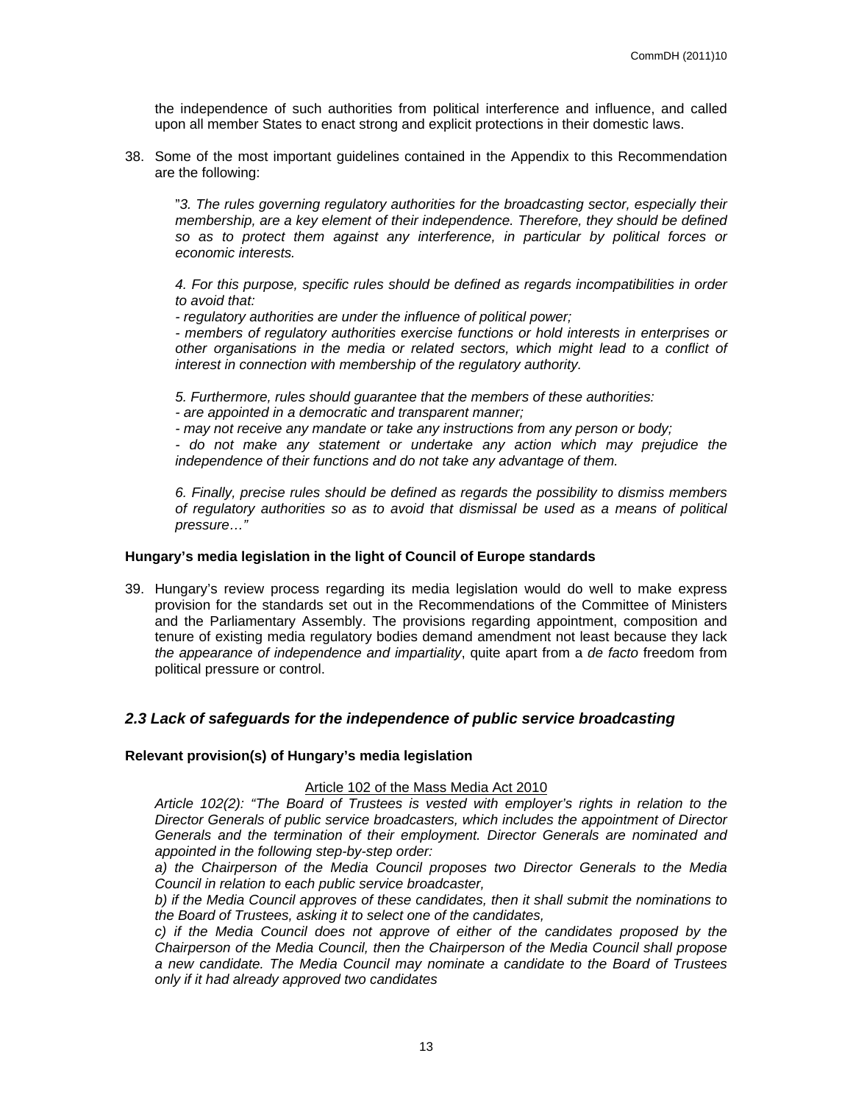the independence of such authorities from political interference and influence, and called upon all member States to enact strong and explicit protections in their domestic laws.

38. Some of the most important guidelines contained in the Appendix to this Recommendation are the following:

"*3. The rules governing regulatory authorities for the broadcasting sector, especially their membership, are a key element of their independence. Therefore, they should be defined so as to protect them against any interference, in particular by political forces or economic interests.*

*4. For this purpose, specific rules should be defined as regards incompatibilities in order to avoid that:*

*- regulatory authorities are under the influence of political power;* 

*- members of regulatory authorities exercise functions or hold interests in enterprises or other organisations in the media or related sectors, which might lead to a conflict of interest in connection with membership of the regulatory authority.* 

*5. Furthermore, rules should guarantee that the members of these authorities:* 

*- are appointed in a democratic and transparent manner;* 

*- may not receive any mandate or take any instructions from any person or body;* 

*- do not make any statement or undertake any action which may prejudice the independence of their functions and do not take any advantage of them.* 

*6. Finally, precise rules should be defined as regards the possibility to dismiss members of regulatory authorities so as to avoid that dismissal be used as a means of political pressure…"*

## **Hungary's media legislation in the light of Council of Europe standards**

39. Hungary's review process regarding its media legislation would do well to make express provision for the standards set out in the Recommendations of the Committee of Ministers and the Parliamentary Assembly. The provisions regarding appointment, composition and tenure of existing media regulatory bodies demand amendment not least because they lack *the appearance of independence and impartiality*, quite apart from a *de facto* freedom from political pressure or control.

# <span id="page-12-0"></span>*2.3 Lack of safeguards for the independence of public service broadcasting*

## **Relevant provision(s) of Hungary's media legislation**

#### Article 102 of the Mass Media Act 2010

*Article 102(2): "The Board of Trustees is vested with employer's rights in relation to the Director Generals of public service broadcasters, which includes the appointment of Director Generals and the termination of their employment. Director Generals are nominated and appointed in the following step-by-step order:*

*a) the Chairperson of the Media Council proposes two Director Generals to the Media Council in relation to each public service broadcaster,*

*b) if the Media Council approves of these candidates, then it shall submit the nominations to the Board of Trustees, asking it to select one of the candidates,*

*c) if the Media Council does not approve of either of the candidates proposed by the Chairperson of the Media Council, then the Chairperson of the Media Council shall propose a new candidate. The Media Council may nominate a candidate to the Board of Trustees only if it had already approved two candidates*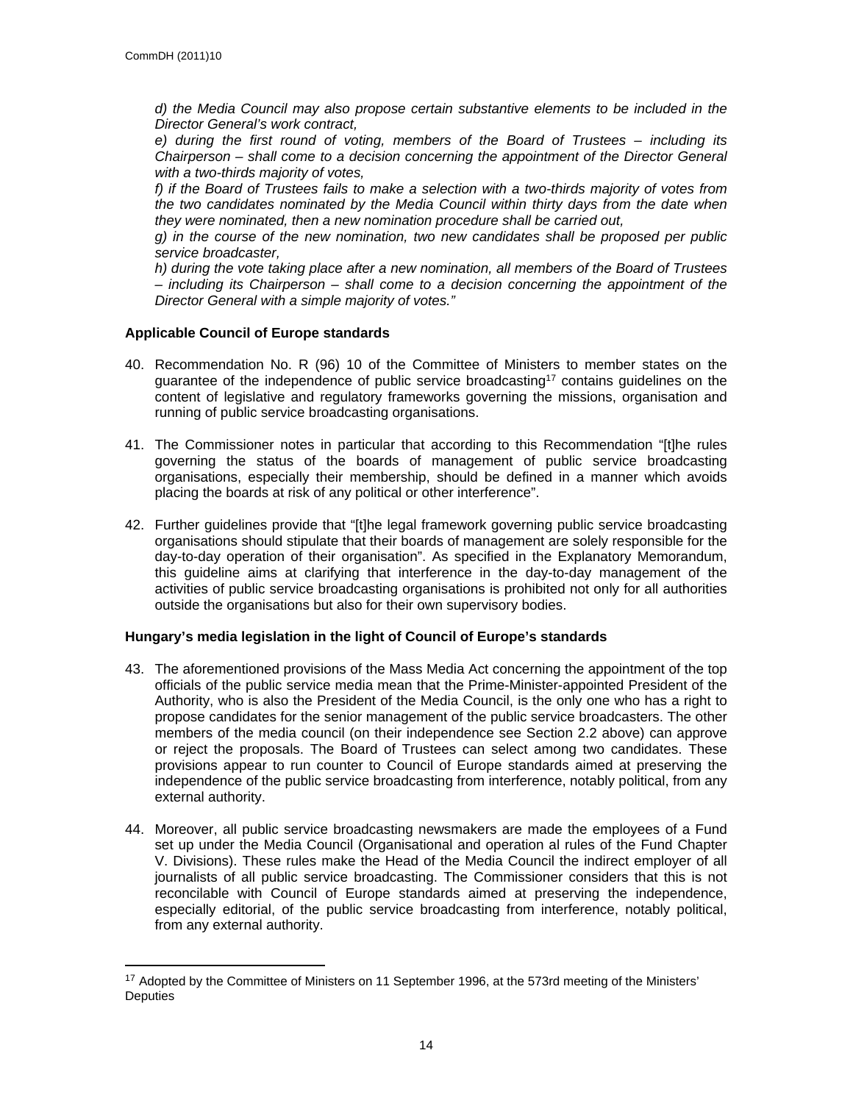*d) the Media Council may also propose certain substantive elements to be included in the Director General's work contract,*

*e) during the first round of voting, members of the Board of Trustees – including its Chairperson – shall come to a decision concerning the appointment of the Director General with a two-thirds majority of votes,*

*f) if the Board of Trustees fails to make a selection with a two-thirds majority of votes from the two candidates nominated by the Media Council within thirty days from the date when they were nominated, then a new nomination procedure shall be carried out,*

*g) in the course of the new nomination, two new candidates shall be proposed per public service broadcaster,*

*h) during the vote taking place after a new nomination, all members of the Board of Trustees – including its Chairperson – shall come to a decision concerning the appointment of the Director General with a simple majority of votes."*

## **Applicable Council of Europe standards**

- 40. Recommendation No. R (96) 10 of the Committee of Ministers to member states on the guarantee of the independence of public service broadcasting<sup>17</sup> contains guidelines on the content of legislative and regulatory frameworks governing the missions, organisation and running of public service broadcasting organisations.
- 41. The Commissioner notes in particular that according to this Recommendation "[t]he rules governing the status of the boards of management of public service broadcasting organisations, especially their membership, should be defined in a manner which avoids placing the boards at risk of any political or other interference".
- 42. Further guidelines provide that "[t]he legal framework governing public service broadcasting organisations should stipulate that their boards of management are solely responsible for the day-to-day operation of their organisation". As specified in the Explanatory Memorandum, this guideline aims at clarifying that interference in the day-to-day management of the activities of public service broadcasting organisations is prohibited not only for all authorities outside the organisations but also for their own supervisory bodies.

# **Hungary's media legislation in the light of Council of Europe's standards**

- 43. The aforementioned provisions of the Mass Media Act concerning the appointment of the top officials of the public service media mean that the Prime-Minister-appointed President of the Authority, who is also the President of the Media Council, is the only one who has a right to propose candidates for the senior management of the public service broadcasters. The other members of the media council (on their independence see Section 2.2 above) can approve or reject the proposals. The Board of Trustees can select among two candidates. These provisions appear to run counter to Council of Europe standards aimed at preserving the independence of the public service broadcasting from interference, notably political, from any external authority.
- 44. Moreover, all public service broadcasting newsmakers are made the employees of a Fund set up under the Media Council (Organisational and operation al rules of the Fund Chapter V. Divisions). These rules make the Head of the Media Council the indirect employer of all journalists of all public service broadcasting. The Commissioner considers that this is not reconcilable with Council of Europe standards aimed at preserving the independence, especially editorial, of the public service broadcasting from interference, notably political, from any external authority.

<sup>&</sup>lt;sup>17</sup> Adopted by the Committee of Ministers on 11 September 1996, at the 573rd meeting of the Ministers' **Deputies**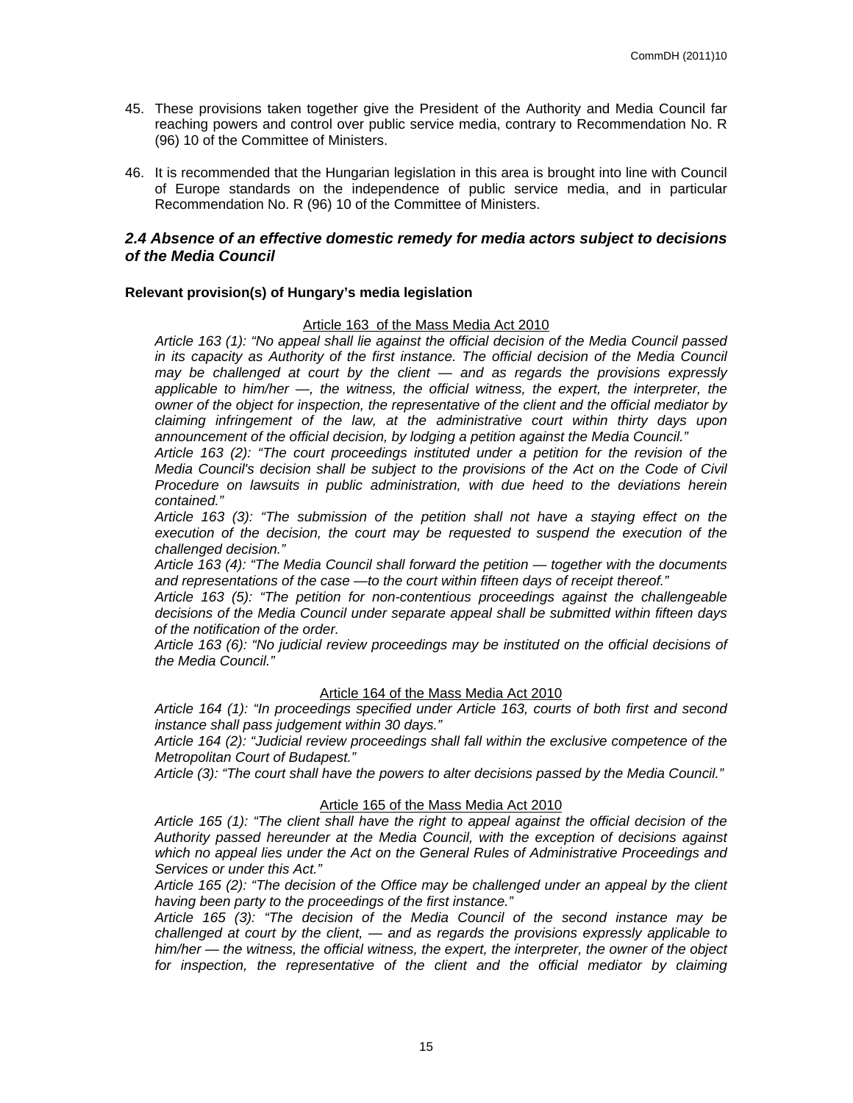- 45. These provisions taken together give the President of the Authority and Media Council far reaching powers and control over public service media, contrary to Recommendation No. R (96) 10 of the Committee of Ministers.
- 46. It is recommended that the Hungarian legislation in this area is brought into line with Council of Europe standards on the independence of public service media, and in particular Recommendation No. R (96) 10 of the Committee of Ministers.

## <span id="page-14-0"></span>*2.4 Absence of an effective domestic remedy for media actors subject to decisions of the Media Council*

## **Relevant provision(s) of Hungary's media legislation**

#### Article 163 of the Mass Media Act 2010

*Article 163 (1): "No appeal shall lie against the official decision of the Media Council passed in its capacity as Authority of the first instance. The official decision of the Media Council may be challenged at court by the client — and as regards the provisions expressly applicable to him/her —, the witness, the official witness, the expert, the interpreter, the owner of the object for inspection, the representative of the client and the official mediator by claiming infringement of the law, at the administrative court within thirty days upon announcement of the official decision, by lodging a petition against the Media Council."*

*Article 163 (2): "The court proceedings instituted under a petition for the revision of the Media Council's decision shall be subject to the provisions of the Act on the Code of Civil Procedure on lawsuits in public administration, with due heed to the deviations herein contained."*

*Article 163 (3): "The submission of the petition shall not have a staying effect on the execution of the decision, the court may be requested to suspend the execution of the challenged decision."*

*Article 163 (4): "The Media Council shall forward the petition — together with the documents and representations of the case —to the court within fifteen days of receipt thereof."*

*Article 163 (5): "The petition for non-contentious proceedings against the challengeable decisions of the Media Council under separate appeal shall be submitted within fifteen days of the notification of the order.*

*Article 163 (6): "No judicial review proceedings may be instituted on the official decisions of the Media Council."*

#### Article 164 of the Mass Media Act 2010

*Article 164 (1): "In proceedings specified under Article 163, courts of both first and second instance shall pass judgement within 30 days."*

*Article 164 (2): "Judicial review proceedings shall fall within the exclusive competence of the Metropolitan Court of Budapest."*

*Article (3): "The court shall have the powers to alter decisions passed by the Media Council."*

#### Article 165 of the Mass Media Act 2010

*Article 165 (1): "The client shall have the right to appeal against the official decision of the Authority passed hereunder at the Media Council, with the exception of decisions against which no appeal lies under the Act on the General Rules of Administrative Proceedings and Services or under this Act."*

*Article 165 (2): "The decision of the Office may be challenged under an appeal by the client having been party to the proceedings of the first instance."*

*Article 165 (3): "The decision of the Media Council of the second instance may be challenged at court by the client, — and as regards the provisions expressly applicable to him/her — the witness, the official witness, the expert, the interpreter, the owner of the object*  for inspection, the representative of the client and the official mediator by claiming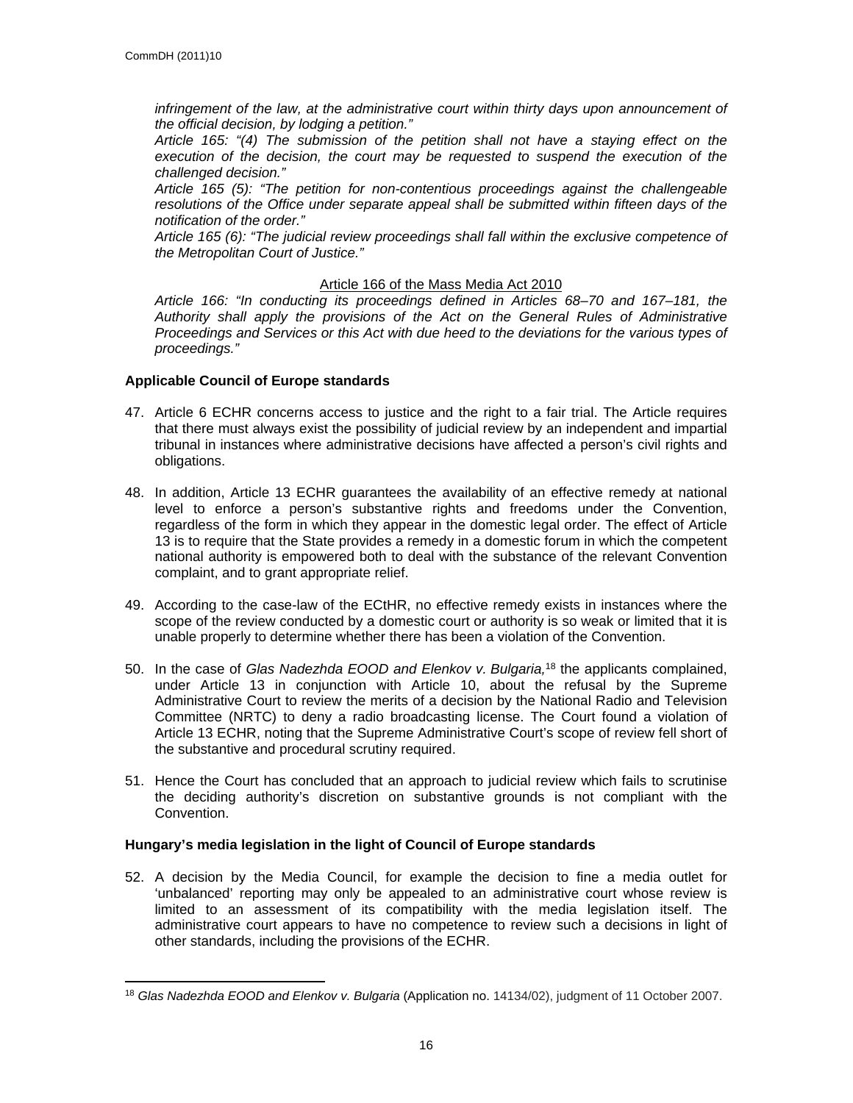*infringement of the law, at the administrative court within thirty days upon announcement of the official decision, by lodging a petition."*

*Article 165: "(4) The submission of the petition shall not have a staying effect on the execution of the decision, the court may be requested to suspend the execution of the challenged decision."*

*Article 165 (5): "The petition for non-contentious proceedings against the challengeable resolutions of the Office under separate appeal shall be submitted within fifteen days of the notification of the order."*

*Article 165 (6): "The judicial review proceedings shall fall within the exclusive competence of the Metropolitan Court of Justice."*

## Article 166 of the Mass Media Act 2010

*Article 166: "In conducting its proceedings defined in Articles 68–70 and 167–181, the Authority shall apply the provisions of the Act on the General Rules of Administrative Proceedings and Services or this Act with due heed to the deviations for the various types of proceedings."*

## **Applicable Council of Europe standards**

- 47. Article 6 ECHR concerns access to justice and the right to a fair trial. The Article requires that there must always exist the possibility of judicial review by an independent and impartial tribunal in instances where administrative decisions have affected a person's civil rights and obligations.
- 48. In addition, Article 13 ECHR guarantees the availability of an effective remedy at national level to enforce a person's substantive rights and freedoms under the Convention, regardless of the form in which they appear in the domestic legal order. The effect of Article 13 is to require that the State provides a remedy in a domestic forum in which the competent national authority is empowered both to deal with the substance of the relevant Convention complaint, and to grant appropriate relief.
- 49. According to the case-law of the ECtHR, no effective remedy exists in instances where the scope of the review conducted by a domestic court or authority is so weak or limited that it is unable properly to determine whether there has been a violation of the Convention.
- 50. In the case of *Glas Nadezhda EOOD and Elenkov v. Bulgaria,*<sup>18</sup> the applicants complained, under Article 13 in conjunction with Article 10, about the refusal by the Supreme Administrative Court to review the merits of a decision by the National Radio and Television Committee (NRTC) to deny a radio broadcasting license. The Court found a violation of Article 13 ECHR, noting that the Supreme Administrative Court's scope of review fell short of the substantive and procedural scrutiny required.
- 51. Hence the Court has concluded that an approach to judicial review which fails to scrutinise the deciding authority's discretion on substantive grounds is not compliant with the Convention.

## **Hungary's media legislation in the light of Council of Europe standards**

52. A decision by the Media Council, for example the decision to fine a media outlet for 'unbalanced' reporting may only be appealed to an administrative court whose review is limited to an assessment of its compatibility with the media legislation itself. The administrative court appears to have no competence to review such a decisions in light of other standards, including the provisions of the ECHR.

<sup>18</sup> *Glas Nadezhda EOOD and Elenkov v. Bulgaria* (Application no. 14134/02), judgment of 11 October 2007.